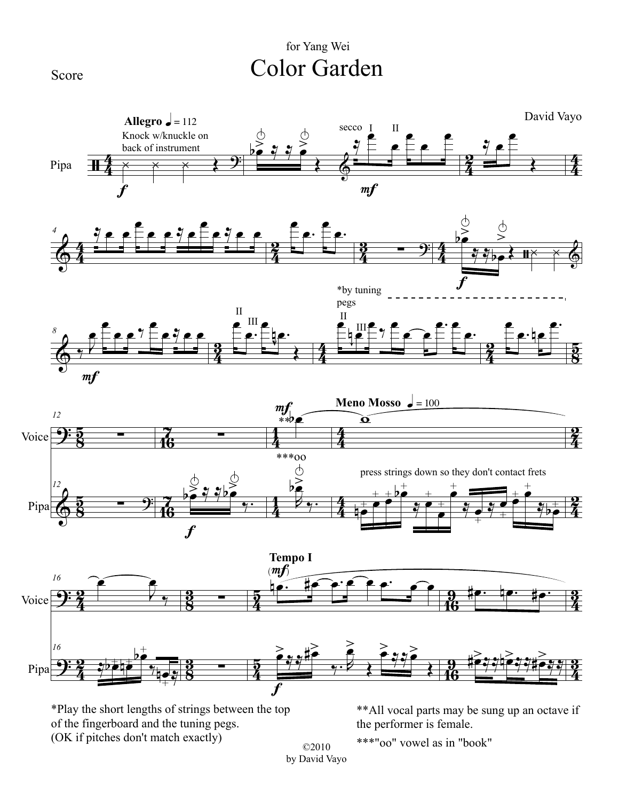## Color Garden for Yang Wei



of the fingerboard and the tuning pegs. (OK if pitches don't match exactly)

\*\*\*"oo" vowel as in "book"

the performer is female.

©2010 by David Vayo

## Score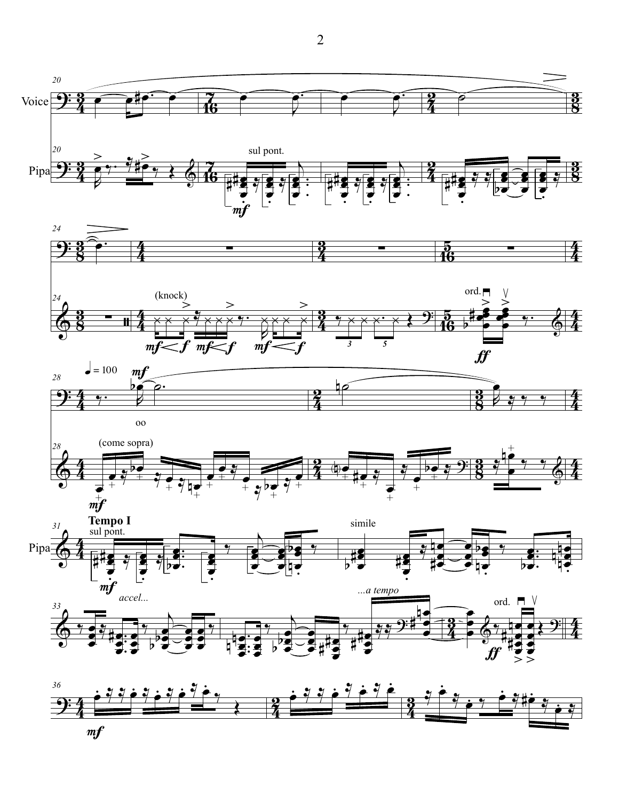

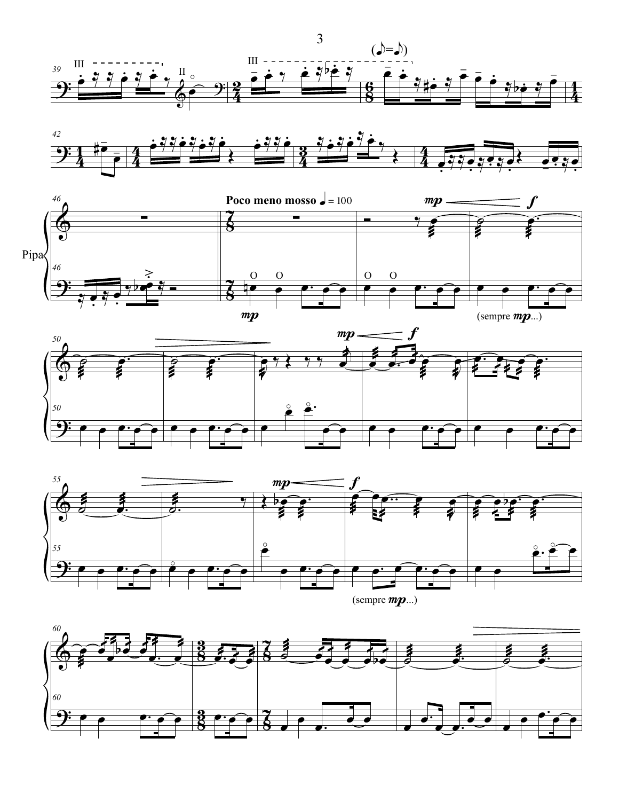









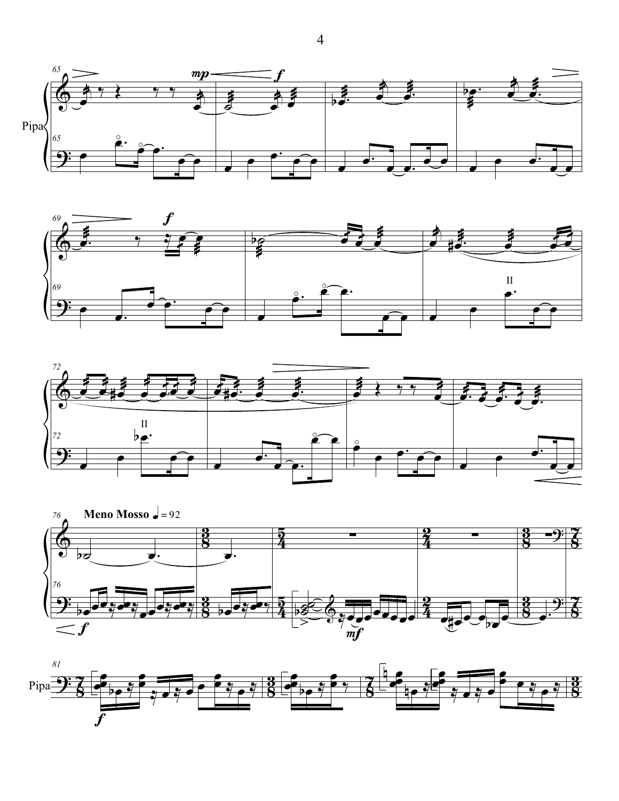







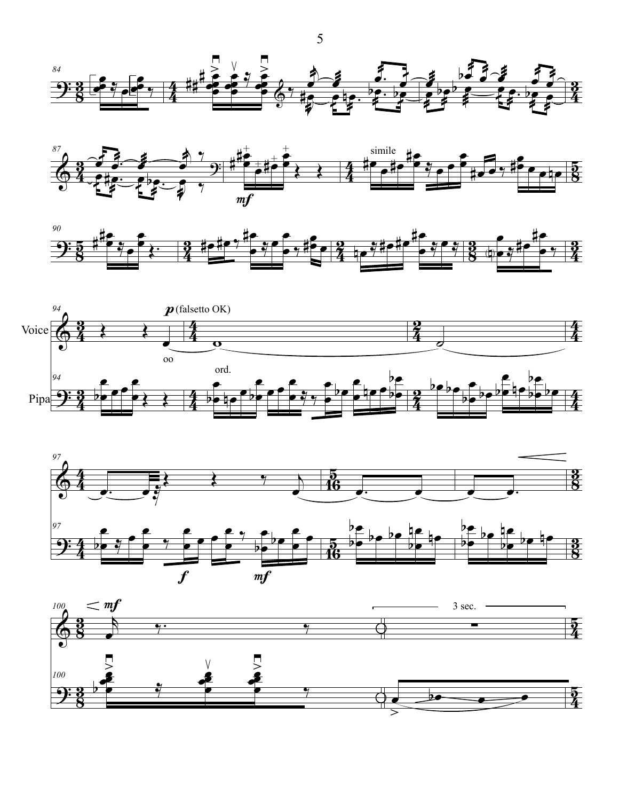











5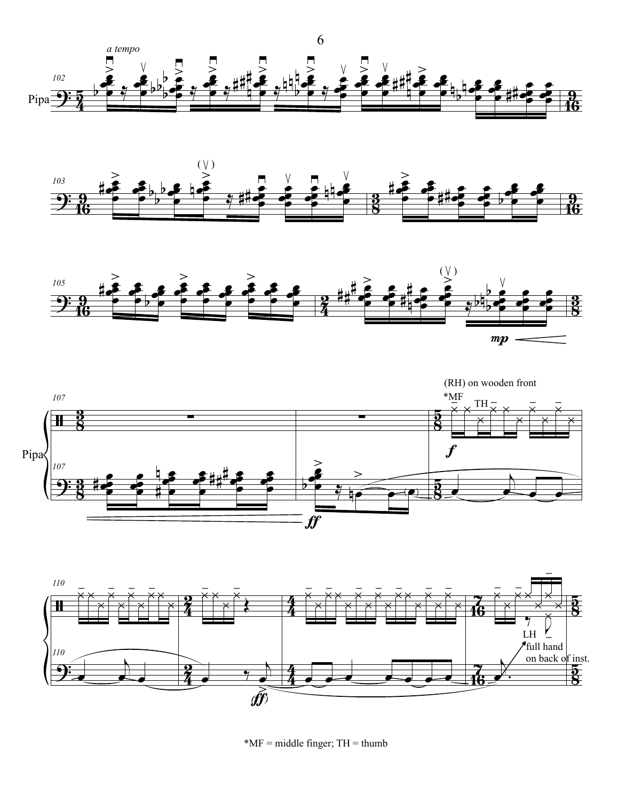









 $*MF = middle finger$ ; TH = thumb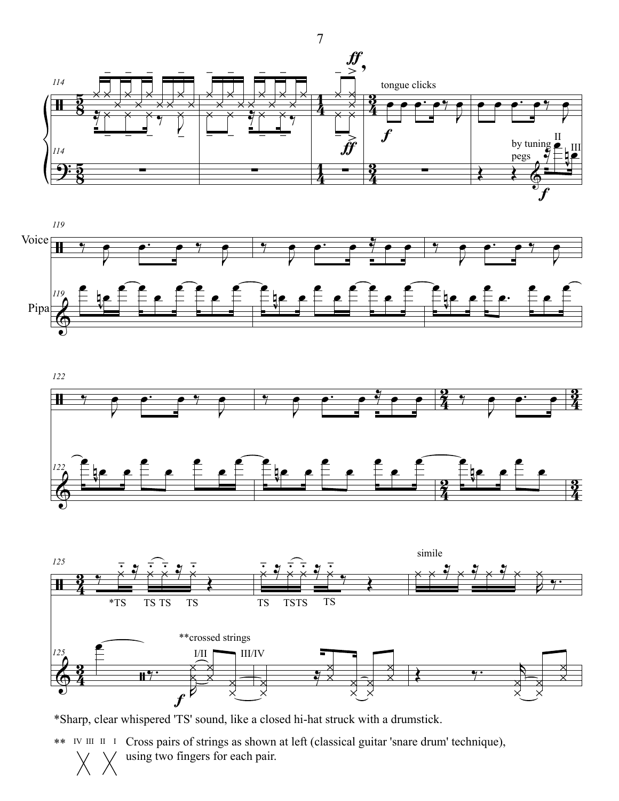







\*Sharp, clear whispered 'TS' sound, like a closed hi-hat struck with a drumstick.

\*\* IV III II Cross pairs of strings as shown at left (classical guitar 'snare drum' technique), using two fingers for each pair.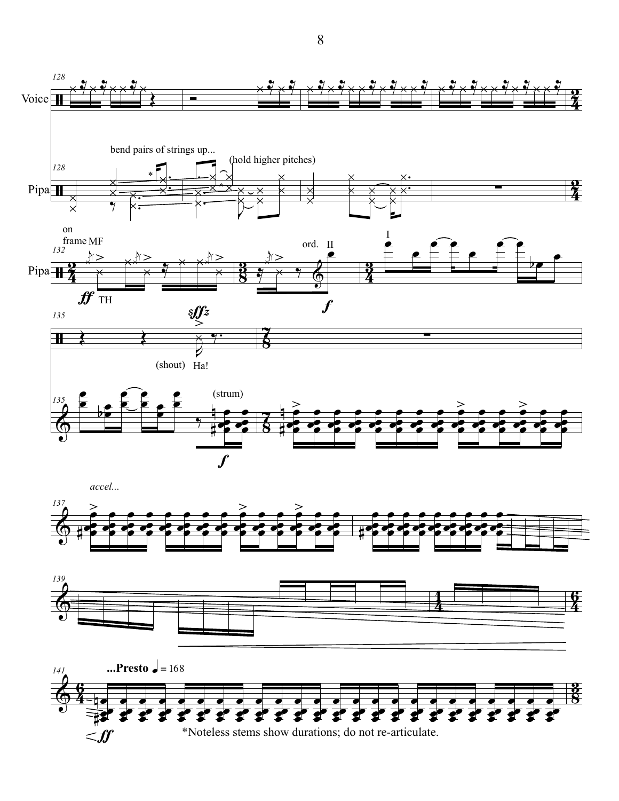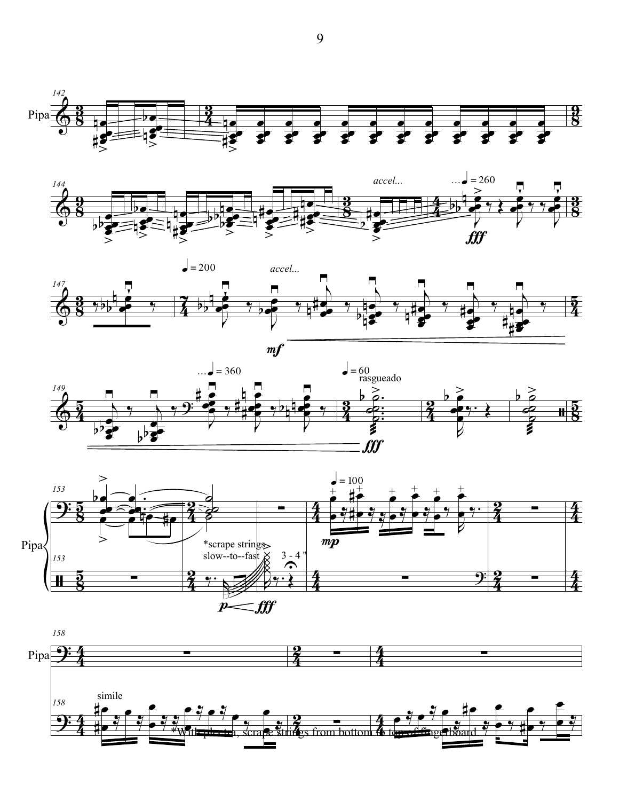









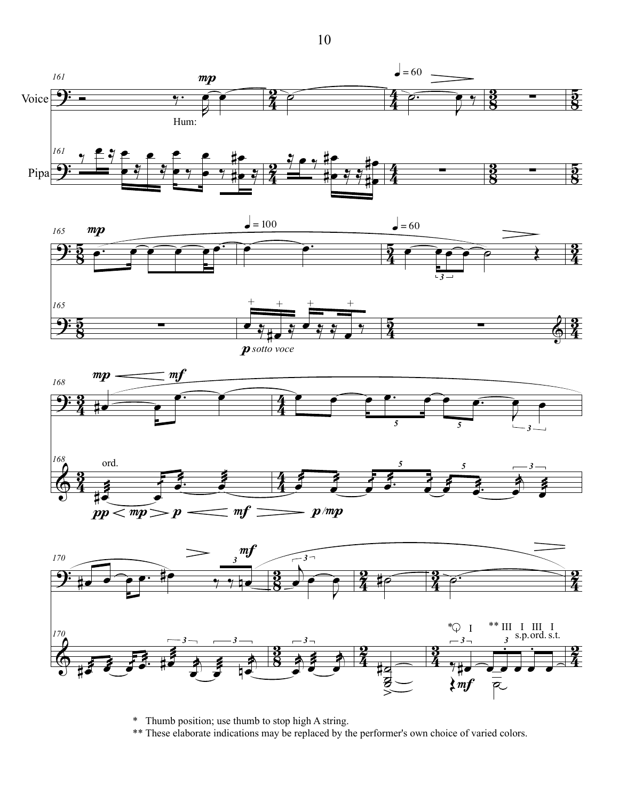

\* Thumb position; use thumb to stop high A string.

\*\* These elaborate indications may be replaced by the performer's own choice of varied colors.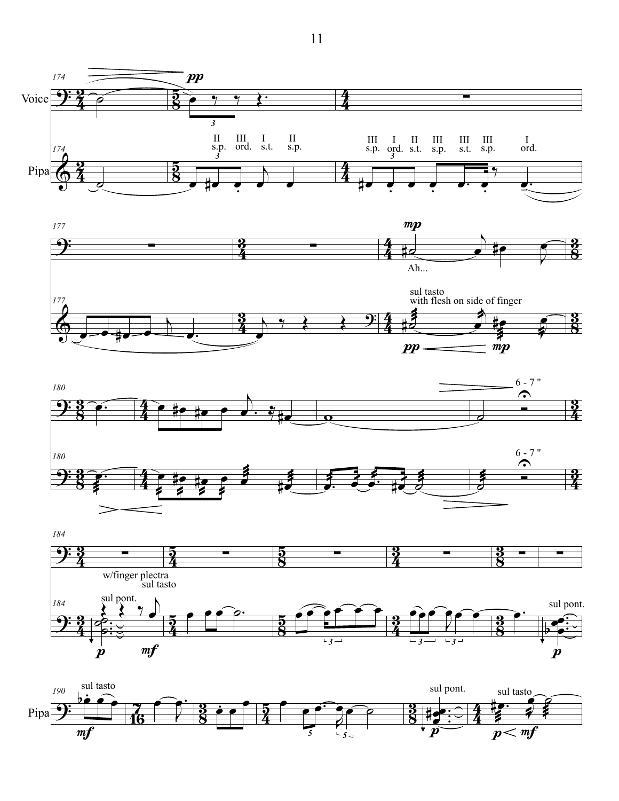











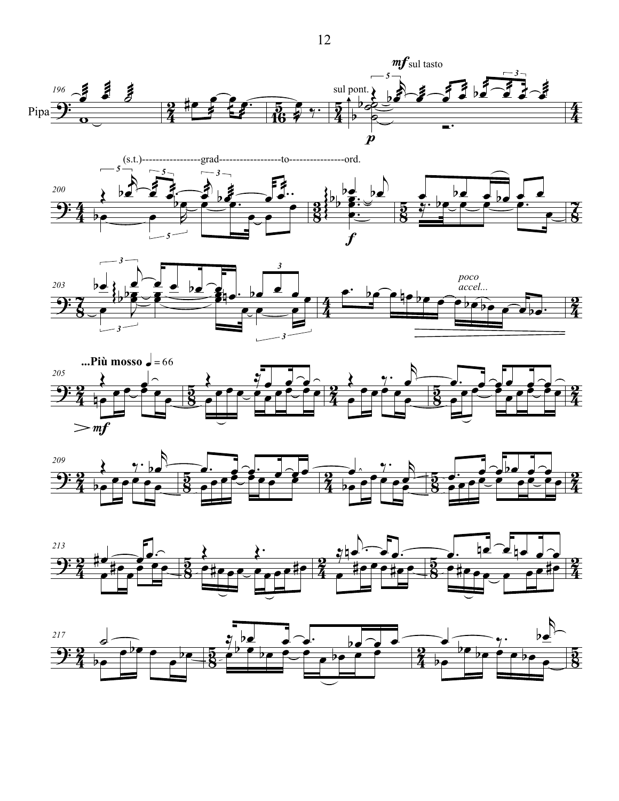











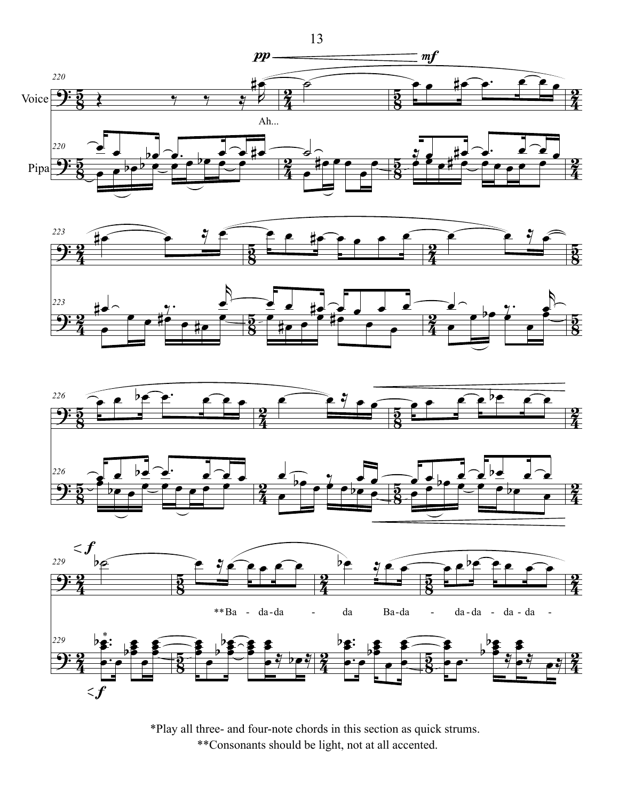

\*Play all three- and four-note chords in this section as quick strums. \*\*Consonants should be light, not at all accented.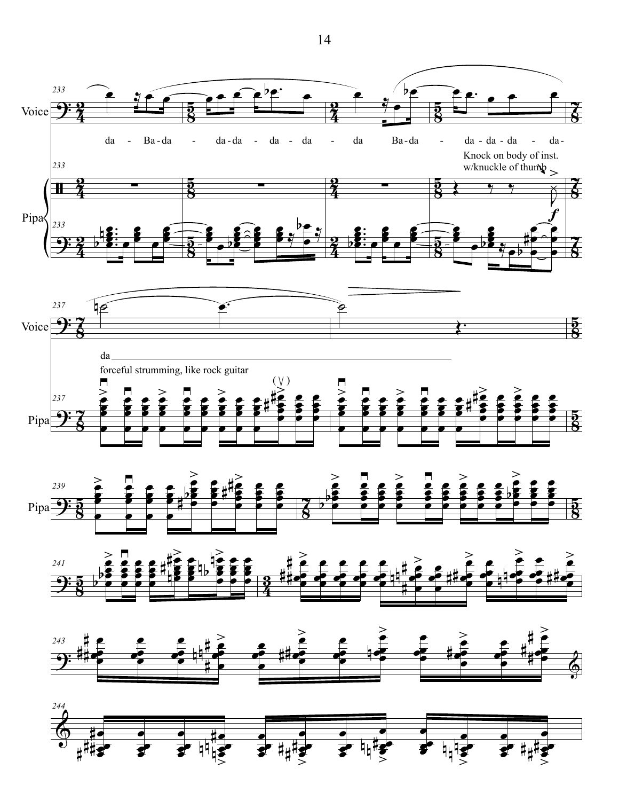



œœ œ # ##

 $\frac{1}{\sqrt{2}}$ 

 $\overline{\mathbf{e}}$ 

# #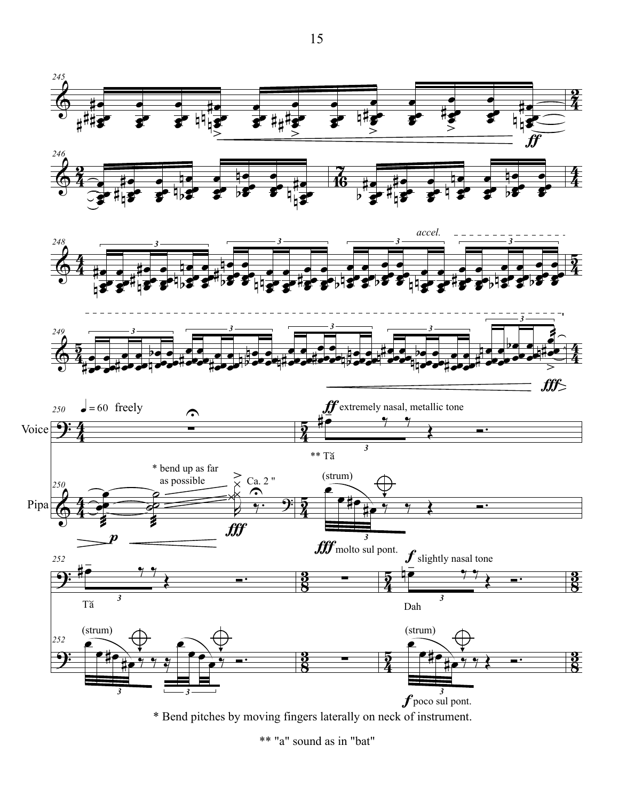

\* Bend pitches by moving fingers laterally on neck of instrument.

\*\* "a" sound as in "bat"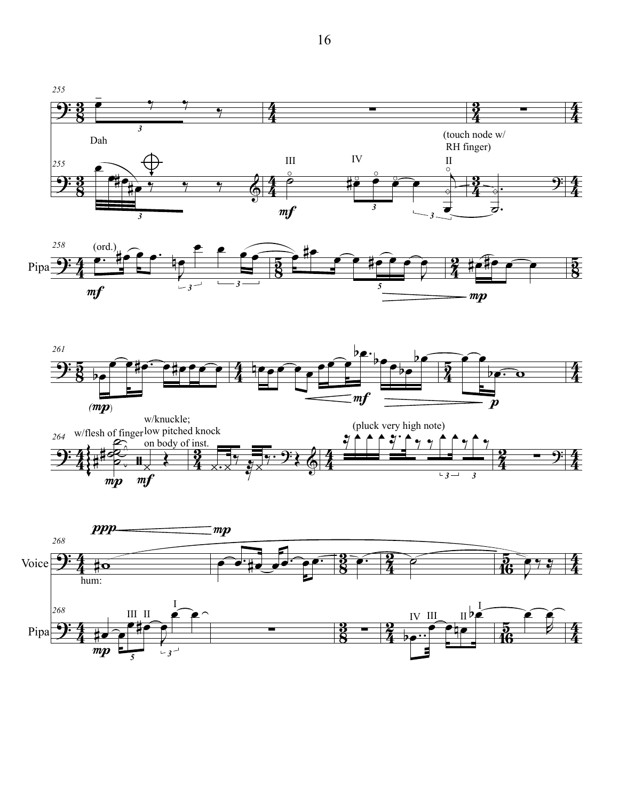